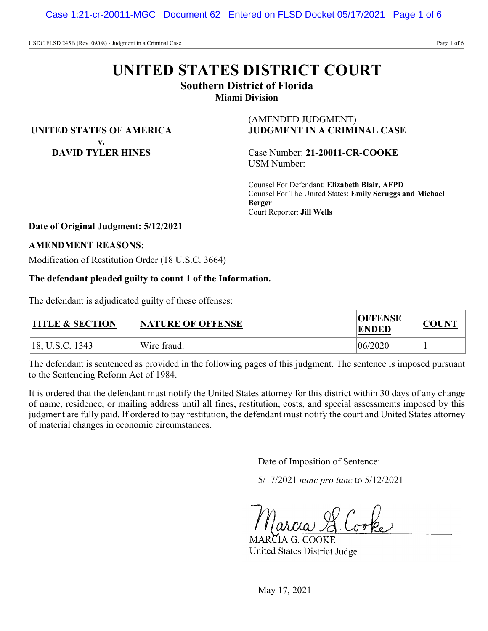# **UNITED STATES DISTRICT COURT**

**Southern District of Florida**

**Miami Division**

**UNITED STATES OF AMERICA v. DAVID TYLER HINES**

(AMENDED JUDGMENT) **JUDGMENT IN A CRIMINAL CASE**

Case Number: **21-20011-CR-COOKE** USM Number:

Counsel For Defendant: **Elizabeth Blair, AFPD** Counsel For The United States: **Emily Scruggs and Michael Berger** Court Reporter: **Jill Wells**

# **Date of Original Judgment: 5/12/2021**

### **AMENDMENT REASONS:**

Modification of Restitution Order (18 U.S.C. 3664)

# **The defendant pleaded guilty to count 1 of the Information.**

The defendant is adjudicated guilty of these offenses:

| <b>TITLE &amp; SECTION</b> | <b>NATURE OF OFFENSE</b> | <b>OFFENSE</b><br><b>ENDED</b> |  |
|----------------------------|--------------------------|--------------------------------|--|
| 18, U.S.C. 1343            | Wire fraud.              | 06/2020                        |  |

The defendant is sentenced as provided in the following pages of this judgment. The sentence is imposed pursuant to the Sentencing Reform Act of 1984.

It is ordered that the defendant must notify the United States attorney for this district within 30 days of any change of name, residence, or mailing address until all fines, restitution, costs, and special assessments imposed by this judgment are fully paid. If ordered to pay restitution, the defendant must notify the court and United States attorney of material changes in economic circumstances.

Date of Imposition of Sentence:

5/17/2021 *nunc pro tunc* to 5/12/2021

RČIA G. COOKE United States District Judge

May 17, 2021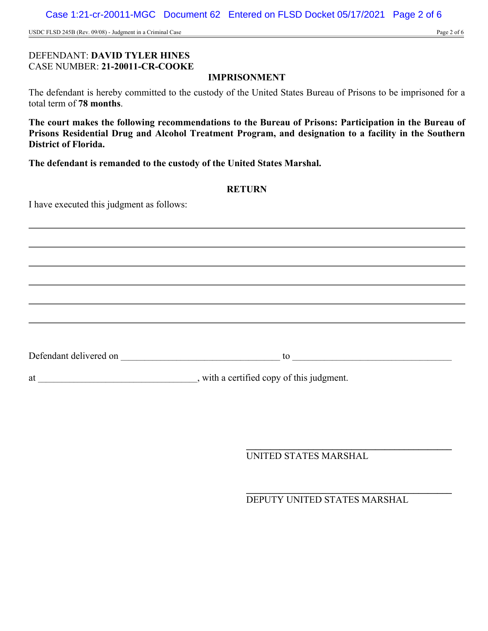Case 1:21-cr-20011-MGC Document 62 Entered on FLSD Docket 05/17/2021 Page 2 of 6

USDC FLSD 245B (Rev. 09/08) - Judgment in a Criminal Case Page 2 of 6

# DEFENDANT: **DAVID TYLER HINES** CASE NUMBER: **21-20011-CR-COOKE**

# **IMPRISONMENT**

The defendant is hereby committed to the custody of the United States Bureau of Prisons to be imprisoned for a total term of **78 months**.

**The court makes the following recommendations to the Bureau of Prisons: Participation in the Bureau of Prisons Residential Drug and Alcohol Treatment Program, and designation to a facility in the Southern District of Florida.**

**The defendant is remanded to the custody of the United States Marshal.**

# **RETURN**

I have executed this judgment as follows:

Defendant delivered on \_\_\_\_\_\_\_\_\_\_\_\_\_\_\_\_\_\_\_\_\_\_\_\_\_\_\_\_\_\_\_\_\_\_\_\_\_\_\_\_ to \_\_\_\_\_\_\_\_\_\_\_\_\_\_\_\_\_\_\_\_\_\_\_\_\_\_\_\_\_\_\_\_\_\_\_\_\_\_\_\_

at subset of the set of the set of this judgment.

**\_\_\_\_\_\_\_\_\_\_\_\_\_\_\_\_\_\_\_\_\_\_\_\_\_\_\_\_\_\_\_\_\_\_\_\_\_\_\_\_\_\_\_** UNITED STATES MARSHAL

DEPUTY UNITED STATES MARSHAL

**\_\_\_\_\_\_\_\_\_\_\_\_\_\_\_\_\_\_\_\_\_\_\_\_\_\_\_\_\_\_\_\_\_\_\_\_\_\_\_\_\_\_\_**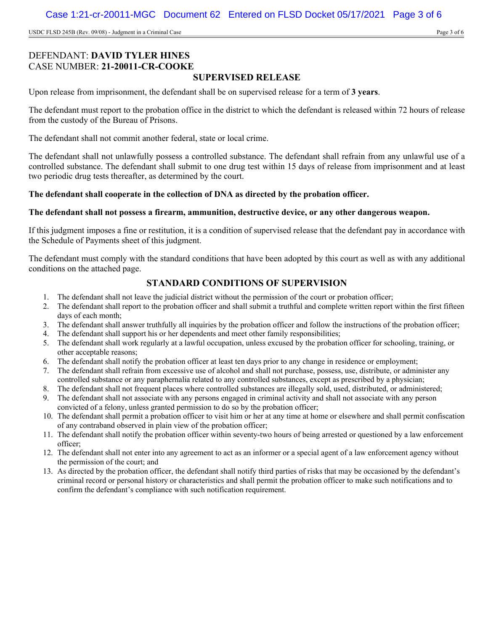USDC FLSD 245B (Rev. 09/08) - Judgment in a Criminal Case Page 3 of 6

# DEFENDANT: **DAVID TYLER HINES** CASE NUMBER: **21-20011-CR-COOKE**

# **SUPERVISED RELEASE**

Upon release from imprisonment, the defendant shall be on supervised release for a term of **3 years**.

The defendant must report to the probation office in the district to which the defendant is released within 72 hours of release from the custody of the Bureau of Prisons.

The defendant shall not commit another federal, state or local crime.

The defendant shall not unlawfully possess a controlled substance. The defendant shall refrain from any unlawful use of a controlled substance. The defendant shall submit to one drug test within 15 days of release from imprisonment and at least two periodic drug tests thereafter, as determined by the court.

#### **The defendant shall cooperate in the collection of DNA as directed by the probation officer.**

#### **The defendant shall not possess a firearm, ammunition, destructive device, or any other dangerous weapon.**

If this judgment imposes a fine or restitution, it is a condition of supervised release that the defendant pay in accordance with the Schedule of Payments sheet of this judgment.

The defendant must comply with the standard conditions that have been adopted by this court as well as with any additional conditions on the attached page.

# **STANDARD CONDITIONS OF SUPERVISION**

- 1. The defendant shall not leave the judicial district without the permission of the court or probation officer;
- 2. The defendant shall report to the probation officer and shall submit a truthful and complete written report within the first fifteen days of each month;
- 3. The defendant shall answer truthfully all inquiries by the probation officer and follow the instructions of the probation officer;
- 4. The defendant shall support his or her dependents and meet other family responsibilities;
- 5. The defendant shall work regularly at a lawful occupation, unless excused by the probation officer for schooling, training, or other acceptable reasons;
- 6. The defendant shall notify the probation officer at least ten days prior to any change in residence or employment;
- 7. The defendant shall refrain from excessive use of alcohol and shall not purchase, possess, use, distribute, or administer any controlled substance or any paraphernalia related to any controlled substances, except as prescribed by a physician;
- 8. The defendant shall not frequent places where controlled substances are illegally sold, used, distributed, or administered;
- 9. The defendant shall not associate with any persons engaged in criminal activity and shall not associate with any person convicted of a felony, unless granted permission to do so by the probation officer;
- 10. The defendant shall permit a probation officer to visit him or her at any time at home or elsewhere and shall permit confiscation of any contraband observed in plain view of the probation officer;
- 11. The defendant shall notify the probation officer within seventy-two hours of being arrested or questioned by a law enforcement officer;
- 12. The defendant shall not enter into any agreement to act as an informer or a special agent of a law enforcement agency without the permission of the court; and
- 13. As directed by the probation officer, the defendant shall notify third parties of risks that may be occasioned by the defendant's criminal record or personal history or characteristics and shall permit the probation officer to make such notifications and to confirm the defendant's compliance with such notification requirement.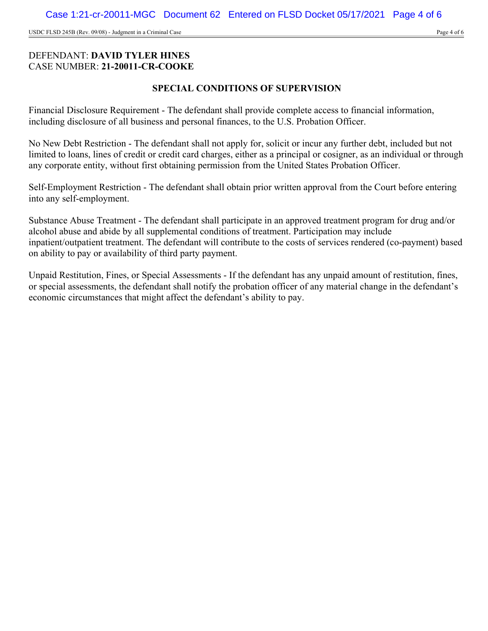USDC FLSD 245B (Rev. 09/08) - Judgment in a Criminal Case Page 4 of 6

# DEFENDANT: **DAVID TYLER HINES** CASE NUMBER: **21-20011-CR-COOKE**

# **SPECIAL CONDITIONS OF SUPERVISION**

Financial Disclosure Requirement - The defendant shall provide complete access to financial information, including disclosure of all business and personal finances, to the U.S. Probation Officer.

No New Debt Restriction - The defendant shall not apply for, solicit or incur any further debt, included but not limited to loans, lines of credit or credit card charges, either as a principal or cosigner, as an individual or through any corporate entity, without first obtaining permission from the United States Probation Officer.

Self-Employment Restriction - The defendant shall obtain prior written approval from the Court before entering into any self-employment.

Substance Abuse Treatment - The defendant shall participate in an approved treatment program for drug and/or alcohol abuse and abide by all supplemental conditions of treatment. Participation may include inpatient/outpatient treatment. The defendant will contribute to the costs of services rendered (co-payment) based on ability to pay or availability of third party payment.

Unpaid Restitution, Fines, or Special Assessments - If the defendant has any unpaid amount of restitution, fines, or special assessments, the defendant shall notify the probation officer of any material change in the defendant's economic circumstances that might affect the defendant's ability to pay.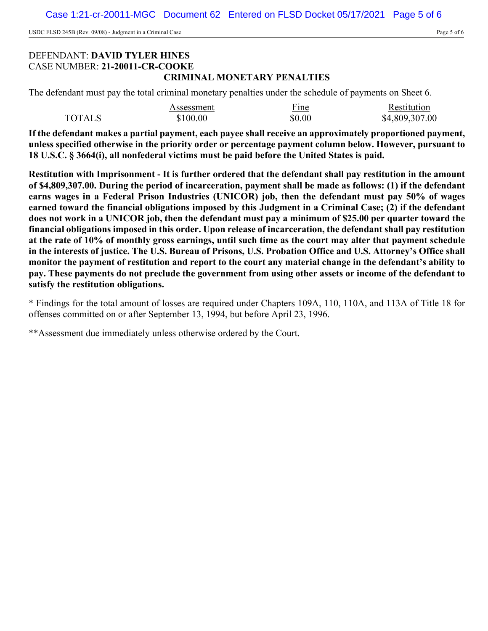USDC FLSD 245B (Rev. 09/08) - Judgment in a Criminal Case Page 5 of 6

## DEFENDANT: **DAVID TYLER HINES** CASE NUMBER: **21-20011-CR-COOKE CRIMINAL MONETARY PENALTIES**

The defendant must pay the total criminal monetary penalties under the schedule of payments on Sheet 6.

|               | Assessment | Fine   | Restitution    |
|---------------|------------|--------|----------------|
| <b>TOTALS</b> | \$100.00   | \$0.00 | \$4,809,307.00 |

**If the defendant makes a partial payment, each payee shall receive an approximately proportioned payment, unless specified otherwise in the priority order or percentage payment column below. However, pursuant to 18 U.S.C. § 3664(i), all nonfederal victims must be paid before the United States is paid.**

**Restitution with Imprisonment - It is further ordered that the defendant shall pay restitution in the amount of \$4,809,307.00. During the period of incarceration, payment shall be made as follows: (1) if the defendant earns wages in a Federal Prison Industries (UNICOR) job, then the defendant must pay 50% of wages earned toward the financial obligations imposed by this Judgment in a Criminal Case; (2) if the defendant does not work in a UNICOR job, then the defendant must pay a minimum of \$25.00 per quarter toward the financial obligations imposed in this order. Upon release of incarceration, the defendant shall pay restitution at the rate of 10% of monthly gross earnings, until such time as the court may alter that payment schedule in the interests of justice. The U.S. Bureau of Prisons, U.S. Probation Office and U.S. Attorney's Office shall monitor the payment of restitution and report to the court any material change in the defendant's ability to pay. These payments do not preclude the government from using other assets or income of the defendant to satisfy the restitution obligations.**

\* Findings for the total amount of losses are required under Chapters 109A, 110, 110A, and 113A of Title 18 for offenses committed on or after September 13, 1994, but before April 23, 1996.

\*\*Assessment due immediately unless otherwise ordered by the Court.